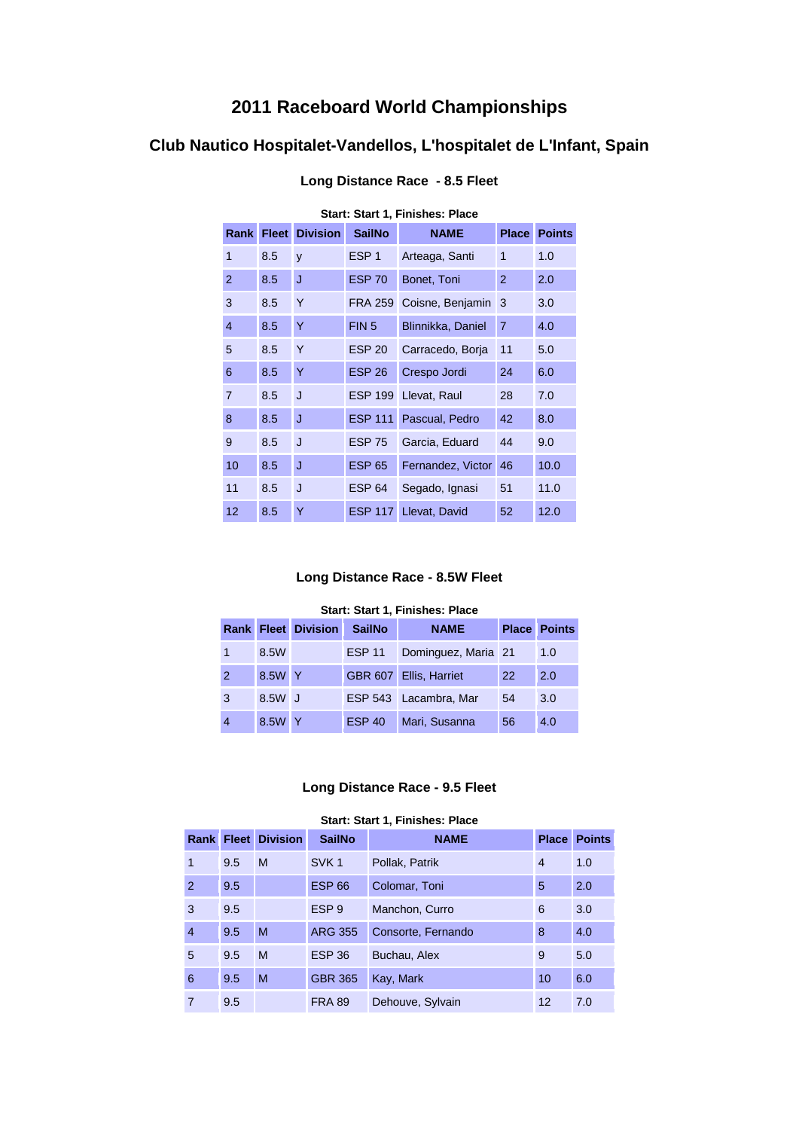## **2011 Raceboard World Championships**

# **Club Nautico Hospitalet-Vandellos, L'hospitalet de L'Infant, Spain**

| Start: Start 1, Finishes: Place |              |                 |                  |                   |                |               |  |  |
|---------------------------------|--------------|-----------------|------------------|-------------------|----------------|---------------|--|--|
| Rank                            | <b>Fleet</b> | <b>Division</b> | <b>SailNo</b>    | <b>NAME</b>       | <b>Place</b>   | <b>Points</b> |  |  |
| 1                               | 8.5          | y               | ESP <sub>1</sub> | Arteaga, Santi    | 1              | 1.0           |  |  |
| $\overline{2}$                  | 8.5          | J               | <b>ESP 70</b>    | Bonet, Toni       | $\overline{2}$ | 2.0           |  |  |
| 3                               | 8.5          | Y               | <b>FRA 259</b>   | Coisne, Benjamin  | 3              | 3.0           |  |  |
| $\overline{4}$                  | 8.5          | Y               | FIN <sub>5</sub> | Blinnikka, Daniel | 7              | 4.0           |  |  |
| 5                               | 8.5          | Y               | <b>ESP 20</b>    | Carracedo, Borja  | 11             | 5.0           |  |  |
| 6                               | 8.5          | Y               | <b>ESP 26</b>    | Crespo Jordi      | 24             | 6.0           |  |  |
| $\overline{7}$                  | 8.5          | J               | <b>ESP 199</b>   | Llevat, Raul      | 28             | 7.0           |  |  |
| 8                               | 8.5          | J               | <b>ESP 111</b>   | Pascual, Pedro    | 42             | 8.0           |  |  |
| 9                               | 8.5          | J               | <b>ESP 75</b>    | Garcia, Eduard    | 44             | 9.0           |  |  |
| 10                              | 8.5          | J               | <b>ESP 65</b>    | Fernandez, Victor | 46             | 10.0          |  |  |
| 11                              | 8.5          | J               | <b>ESP 64</b>    | Segado, Ignasi    | 51             | 11.0          |  |  |
| 12                              | 8.5          | Y               | <b>ESP 117</b>   | Llevat, David     | 52             | 12.0          |  |  |

## **Long Distance Race - 8.5 Fleet**

## **Long Distance Race - 8.5W Fleet**

| Start: Start 1, Finishes: Place |        |                            |                |                        |              |               |  |  |
|---------------------------------|--------|----------------------------|----------------|------------------------|--------------|---------------|--|--|
|                                 |        | <b>Rank Fleet Division</b> | <b>SailNo</b>  | <b>NAME</b>            | <b>Place</b> | <b>Points</b> |  |  |
|                                 | 8.5W   |                            | <b>ESP 11</b>  | Dominguez, Maria 21    |              | 1.0           |  |  |
| $\overline{2}$                  | 8.5W   | <b>Y</b>                   |                | GBR 607 Ellis, Harriet | 22           | 2.0           |  |  |
| 3                               | 8.5W J |                            | <b>ESP 543</b> | Lacambra, Mar          | 54           | 3.0           |  |  |
|                                 | 8.5W   |                            | <b>ESP 40</b>  | Mari, Susanna          | 56           | 4.0           |  |  |

## **Long Distance Race - 9.5 Fleet**

### **Start: Start 1, Finishes: Place**

| <b>Rank</b>    |     | <b>Fleet Division</b> | <b>SailNo</b>    | <b>NAME</b>        | <b>Place</b>   | <b>Points</b> |
|----------------|-----|-----------------------|------------------|--------------------|----------------|---------------|
| 1              | 9.5 | M                     | SVK <sub>1</sub> | Pollak, Patrik     | $\overline{4}$ | 1.0           |
| $\overline{2}$ | 9.5 |                       | <b>ESP 66</b>    | Colomar, Toni      | 5              | 2.0           |
| 3              | 9.5 |                       | ESP <sub>9</sub> | Manchon, Curro     | 6              | 3.0           |
| $\overline{4}$ | 9.5 | M                     | <b>ARG 355</b>   | Consorte, Fernando | 8              | 4.0           |
| 5              | 9.5 | M                     | <b>ESP 36</b>    | Buchau, Alex       | 9              | 5.0           |
| 6              | 9.5 | M                     | <b>GBR 365</b>   | Kay, Mark          | 10             | 6.0           |
| 7              | 9.5 |                       | <b>FRA 89</b>    | Dehouve, Sylvain   | 12             | 7.0           |